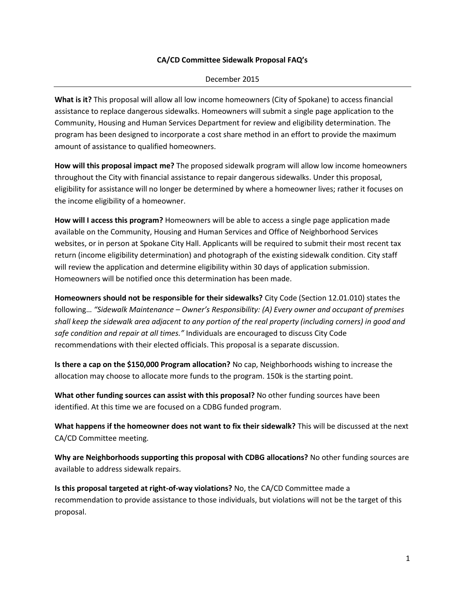## **CA/CD Committee Sidewalk Proposal FAQ's**

## December 2015

**What is it?** This proposal will allow all low income homeowners (City of Spokane) to access financial assistance to replace dangerous sidewalks. Homeowners will submit a single page application to the Community, Housing and Human Services Department for review and eligibility determination. The program has been designed to incorporate a cost share method in an effort to provide the maximum amount of assistance to qualified homeowners.

**How will this proposal impact me?** The proposed sidewalk program will allow low income homeowners throughout the City with financial assistance to repair dangerous sidewalks. Under this proposal, eligibility for assistance will no longer be determined by where a homeowner lives; rather it focuses on the income eligibility of a homeowner.

**How will I access this program?** Homeowners will be able to access a single page application made available on the Community, Housing and Human Services and Office of Neighborhood Services websites, or in person at Spokane City Hall. Applicants will be required to submit their most recent tax return (income eligibility determination) and photograph of the existing sidewalk condition. City staff will review the application and determine eligibility within 30 days of application submission. Homeowners will be notified once this determination has been made.

**Homeowners should not be responsible for their sidewalks?** City Code (Section 12.01.010) states the following… *"Sidewalk Maintenance – Owner's Responsibility: (A) Every owner and occupant of premises shall keep the sidewalk area adjacent to any portion of the real property (including corners) in good and safe condition and repair at all times."* Individuals are encouraged to discuss City Code recommendations with their elected officials. This proposal is a separate discussion.

**Is there a cap on the \$150,000 Program allocation?** No cap, Neighborhoods wishing to increase the allocation may choose to allocate more funds to the program. 150k is the starting point.

**What other funding sources can assist with this proposal?** No other funding sources have been identified. At this time we are focused on a CDBG funded program.

**What happens if the homeowner does not want to fix their sidewalk?** This will be discussed at the next CA/CD Committee meeting.

**Why are Neighborhoods supporting this proposal with CDBG allocations?** No other funding sources are available to address sidewalk repairs.

**Is this proposal targeted at right-of-way violations?** No, the CA/CD Committee made a recommendation to provide assistance to those individuals, but violations will not be the target of this proposal.